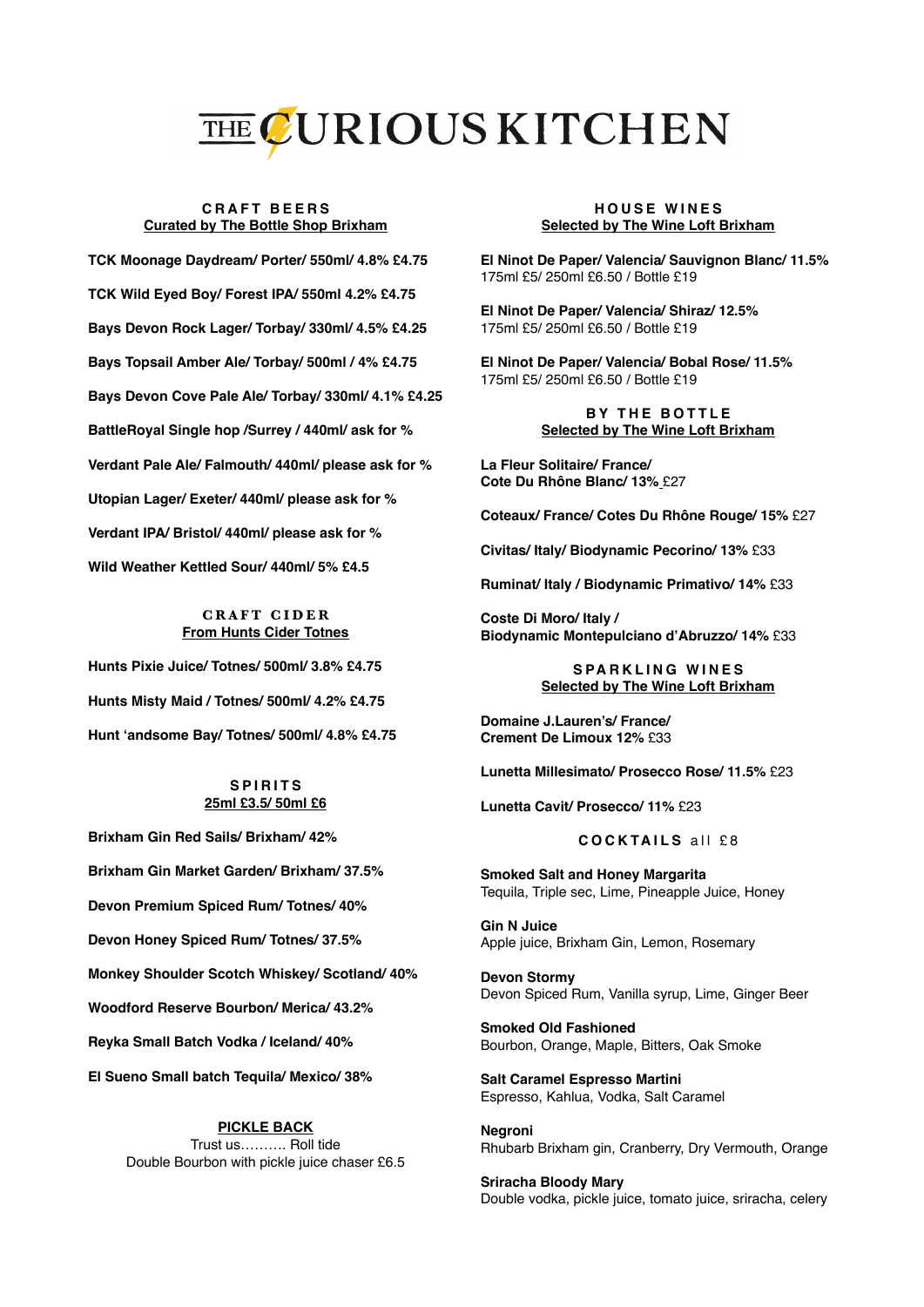# THE CURIOUS KITCHEN

#### **CRAFT BEERS Curated by The Bottle Shop Brixham**

**TCK Moonage Daydream/ Porter/ 550ml/ 4.8% £4.75 TCK Wild Eyed Boy/ Forest IPA/ 550ml 4.2% £4.75 Bays Devon Rock Lager/ Torbay/ 330ml/ 4.5% £4.25 Bays Topsail Amber Ale/ Torbay/ 500ml / 4% £4.75 Bays Devon Cove Pale Ale/ Torbay/ 330ml/ 4.1% £4.25 BattleRoyal Single hop /Surrey / 440ml/ ask for % Verdant Pale Ale/ Falmouth/ 440ml/ please ask for % Utopian Lager/ Exeter/ 440ml/ please ask for % Verdant IPA/ Bristol/ 440ml/ please ask for % Wild Weather Kettled Sour/ 440ml/ 5% £4.5**

## **CRAFT CIDER From Hunts Cider Totnes**

**Hunts Pixie Juice/ Totnes/ 500ml/ 3.8% £4.75 Hunts Misty Maid / Totnes/ 500ml/ 4.2% £4.75 Hunt 'andsome Bay/ Totnes/ 500ml/ 4.8% £4.75**

#### **SPIRITS 25ml £3.5/ 50ml £6**

**Brixham Gin Red Sails/ Brixham/ 42% Brixham Gin Market Garden/ Brixham/ 37.5% Devon Premium Spiced Rum/ Totnes/ 40% Devon Honey Spiced Rum/ Totnes/ 37.5% Monkey Shoulder Scotch Whiskey/ Scotland/ 40% Woodford Reserve Bourbon/ Merica/ 43.2% Reyka Small Batch Vodka / Iceland/ 40% El Sueno Small batch Tequila/ Mexico/ 38%**

#### **PICKLE BACK** Trust us………. Roll tide Double Bourbon with pickle juice chaser £6.5

#### **HOUSE WINES Selected by The Wine Loft Brixham**

**El Ninot De Paper/ Valencia/ Sauvignon Blanc/ 11.5%** 175ml £5/ 250ml £6.50 / Bottle £19

**El Ninot De Paper/ Valencia/ Shiraz/ 12.5%** 175ml £5/ 250ml £6.50 / Bottle £19

**El Ninot De Paper/ Valencia/ Bobal Rose/ 11.5%** 175ml £5/ 250ml £6.50 / Bottle £19

#### **BY THE BOTTLE Selected by The Wine Loft Brixham**

**La Fleur Solitaire/ France/ Cote Du Rhône Blanc/ 13%** £27

**Coteaux/ France/ Cotes Du Rhône Rouge/ 15%** £27

**Civitas/ Italy/ Biodynamic Pecorino/ 13%** £33

**Ruminat/ Italy / Biodynamic Primativo/ 14%** £33

**Coste Di Moro/ Italy / Biodynamic Montepulciano d'Abruzzo/ 14%** £33

## **SPARKLING WINES Selected by The Wine Loft Brixham**

**Domaine J.Lauren's/ France/ Crement De Limoux 12%** £33

**Lunetta Millesimato/ Prosecco Rose/ 11.5%** £23

**Lunetta Cavit/ Prosecco/ 11%** £23

# **COCKTAILS** all £8

**Smoked Salt and Honey Margarita**  Tequila, Triple sec, Lime, Pineapple Juice, Honey

**Gin N Juice** Apple juice, Brixham Gin, Lemon, Rosemary

**Devon Stormy**  Devon Spiced Rum, Vanilla syrup, Lime, Ginger Beer

**Smoked Old Fashioned**  Bourbon, Orange, Maple, Bitters, Oak Smoke

**Salt Caramel Espresso Martini** Espresso, Kahlua, Vodka, Salt Caramel

**Negroni** Rhubarb Brixham gin, Cranberry, Dry Vermouth, Orange

**Sriracha Bloody Mary**  Double vodka, pickle juice, tomato juice, sriracha, celery